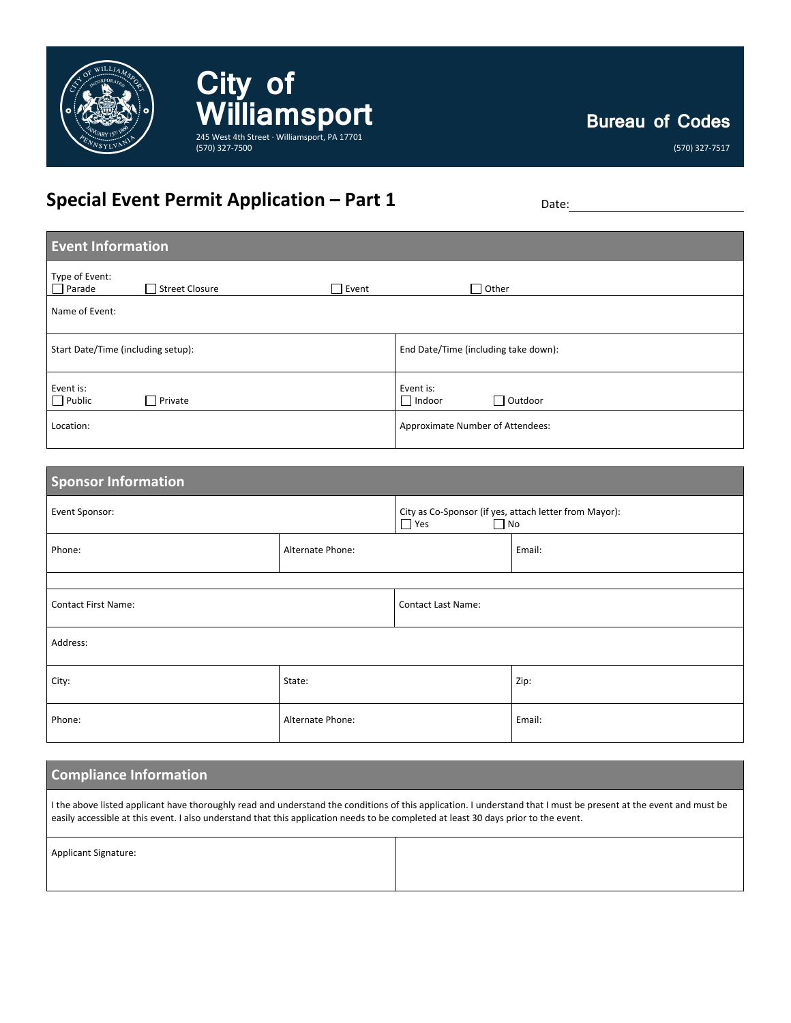

**Bureau of Codes**

(570) 327-7517

# **Special Event Permit Application – Part 1** Date:

(570) 327-7500

**City of** 

WilliamSport

| <b>Event Information</b>                                   |                                              |  |  |
|------------------------------------------------------------|----------------------------------------------|--|--|
| Type of Event:<br>$\Box$ Parade<br>Event<br>Street Closure | $\Box$ Other                                 |  |  |
| Name of Event:                                             |                                              |  |  |
| Start Date/Time (including setup):                         | End Date/Time (including take down):         |  |  |
| Event is:<br>$\Box$ Public<br>$\Box$ Private               | Event is:<br>$\Box$ Outdoor<br>$\Box$ Indoor |  |  |
| Location:                                                  | Approximate Number of Attendees:             |  |  |

| <b>Sponsor Information</b> |                  |                                                                                   |        |
|----------------------------|------------------|-----------------------------------------------------------------------------------|--------|
| Event Sponsor:             |                  | City as Co-Sponsor (if yes, attach letter from Mayor):<br>$\Box$ Yes<br>$\Box$ No |        |
| Phone:                     | Alternate Phone: |                                                                                   | Email: |
|                            |                  |                                                                                   |        |
| <b>Contact First Name:</b> |                  | <b>Contact Last Name:</b>                                                         |        |
| Address:                   |                  |                                                                                   |        |
| City:                      | State:           |                                                                                   | Zip:   |
| Phone:                     | Alternate Phone: |                                                                                   | Email: |

| <b>Compliance Information</b>                                                                                                                                                                                                                                                                            |
|----------------------------------------------------------------------------------------------------------------------------------------------------------------------------------------------------------------------------------------------------------------------------------------------------------|
| I the above listed applicant have thoroughly read and understand the conditions of this application. I understand that I must be present at the event and must be<br>easily accessible at this event. I also understand that this application needs to be completed at least 30 days prior to the event. |

| Applicant Signature: |  |
|----------------------|--|
|                      |  |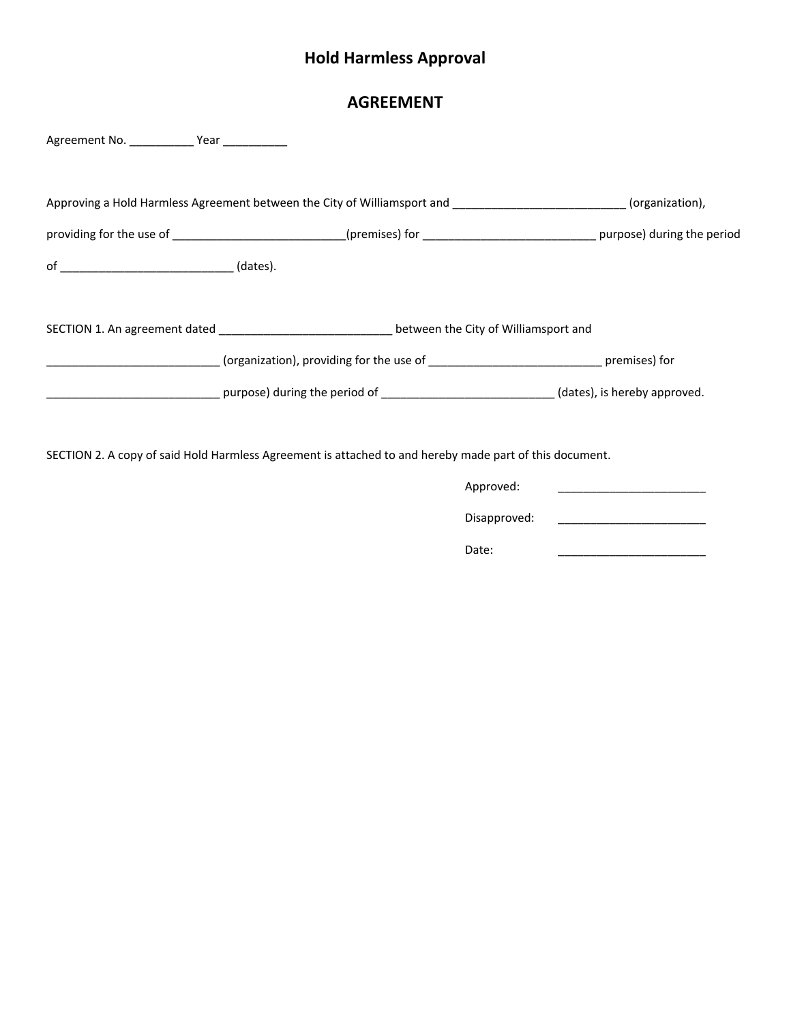# **Hold Harmless Approval**

### **AGREEMENT**

| Agreement No. ______________ Year _____________ |                                                                                                                                                                                                                               |  |
|-------------------------------------------------|-------------------------------------------------------------------------------------------------------------------------------------------------------------------------------------------------------------------------------|--|
|                                                 |                                                                                                                                                                                                                               |  |
|                                                 | Approving a Hold Harmless Agreement between the City of Williamsport and ___________________________(organization),                                                                                                           |  |
|                                                 | providing for the use of _________________________(premises) for _____________________________purpose) during the period                                                                                                      |  |
|                                                 |                                                                                                                                                                                                                               |  |
|                                                 |                                                                                                                                                                                                                               |  |
|                                                 | SECTION 1. An agreement dated __________________________________between the City of Williamsport and                                                                                                                          |  |
|                                                 |                                                                                                                                                                                                                               |  |
|                                                 | errors and the period of entity and the series of the series of the series of the series of the series of the series of the series of the series of the series of the series of the series of the series of the series of the |  |
|                                                 |                                                                                                                                                                                                                               |  |
|                                                 | SECTION 2. A copy of said Hold Harmless Agreement is attached to and hereby made part of this document.                                                                                                                       |  |
|                                                 | Approved:                                                                                                                                                                                                                     |  |
|                                                 | Disapproved:                                                                                                                                                                                                                  |  |

Date: \_\_\_\_\_\_\_\_\_\_\_\_\_\_\_\_\_\_\_\_\_\_\_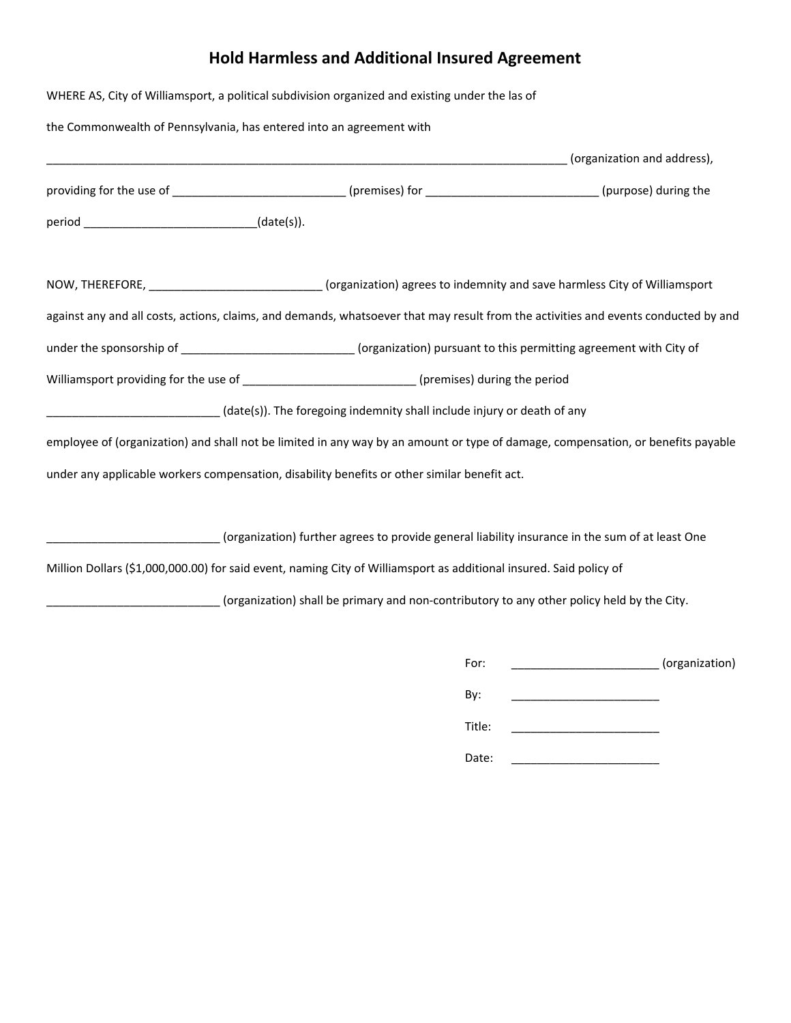# **Hold Harmless and Additional Insured Agreement**

|                                                                      | WHERE AS, City of Williamsport, a political subdivision organized and existing under the las of                                     |                |
|----------------------------------------------------------------------|-------------------------------------------------------------------------------------------------------------------------------------|----------------|
| the Commonwealth of Pennsylvania, has entered into an agreement with |                                                                                                                                     |                |
|                                                                      |                                                                                                                                     |                |
|                                                                      | providing for the use of ____________________________(premises) for ________________________(purpose) during the                    |                |
| period __________________________________(date(s)).                  |                                                                                                                                     |                |
|                                                                      | NOW, THEREFORE, ___________________________(organization) agrees to indemnity and save harmless City of Williamsport                |                |
|                                                                      | against any and all costs, actions, claims, and demands, whatsoever that may result from the activities and events conducted by and |                |
|                                                                      | under the sponsorship of _____________________________(organization) pursuant to this permitting agreement with City of             |                |
|                                                                      | Williamsport providing for the use of ___________________________(premises) during the period                                       |                |
|                                                                      | (date(s)). The foregoing indemnity shall include injury or death of any                                                             |                |
|                                                                      | employee of (organization) and shall not be limited in any way by an amount or type of damage, compensation, or benefits payable    |                |
|                                                                      | under any applicable workers compensation, disability benefits or other similar benefit act.                                        |                |
|                                                                      | (organization) further agrees to provide general liability insurance in the sum of at least One                                     |                |
|                                                                      | Million Dollars (\$1,000,000.00) for said event, naming City of Williamsport as additional insured. Said policy of                  |                |
|                                                                      | (organization) shall be primary and non-contributory to any other policy held by the City.                                          |                |
|                                                                      | For:                                                                                                                                | (organization) |

| By:    |  |
|--------|--|
| Title: |  |
| Date:  |  |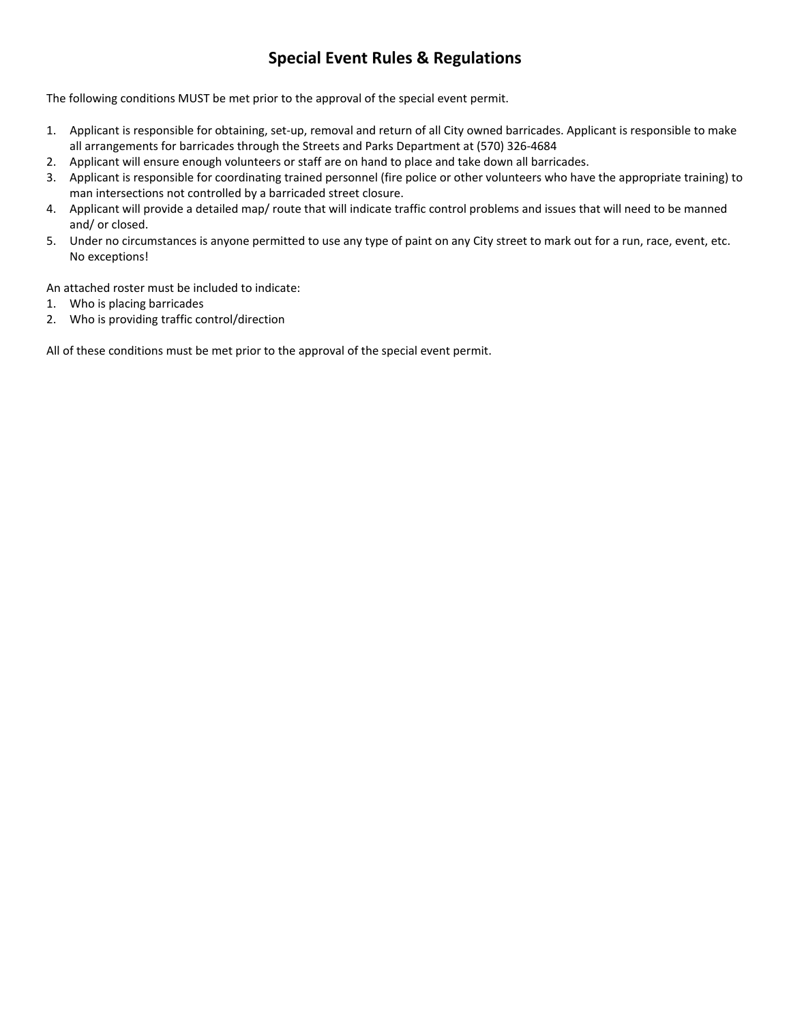## **Special Event Rules & Regulations**

The following conditions MUST be met prior to the approval of the special event permit.

- 1. Applicant is responsible for obtaining, set-up, removal and return of all City owned barricades. Applicant is responsible to make all arrangements for barricades through the Streets and Parks Department at (570) 326-4684
- 2. Applicant will ensure enough volunteers or staff are on hand to place and take down all barricades.
- 3. Applicant is responsible for coordinating trained personnel (fire police or other volunteers who have the appropriate training) to man intersections not controlled by a barricaded street closure.
- 4. Applicant will provide a detailed map/ route that will indicate traffic control problems and issues that will need to be manned and/ or closed.
- 5. Under no circumstances is anyone permitted to use any type of paint on any City street to mark out for a run, race, event, etc. No exceptions!

An attached roster must be included to indicate:

- 1. Who is placing barricades
- 2. Who is providing traffic control/direction

All of these conditions must be met prior to the approval of the special event permit.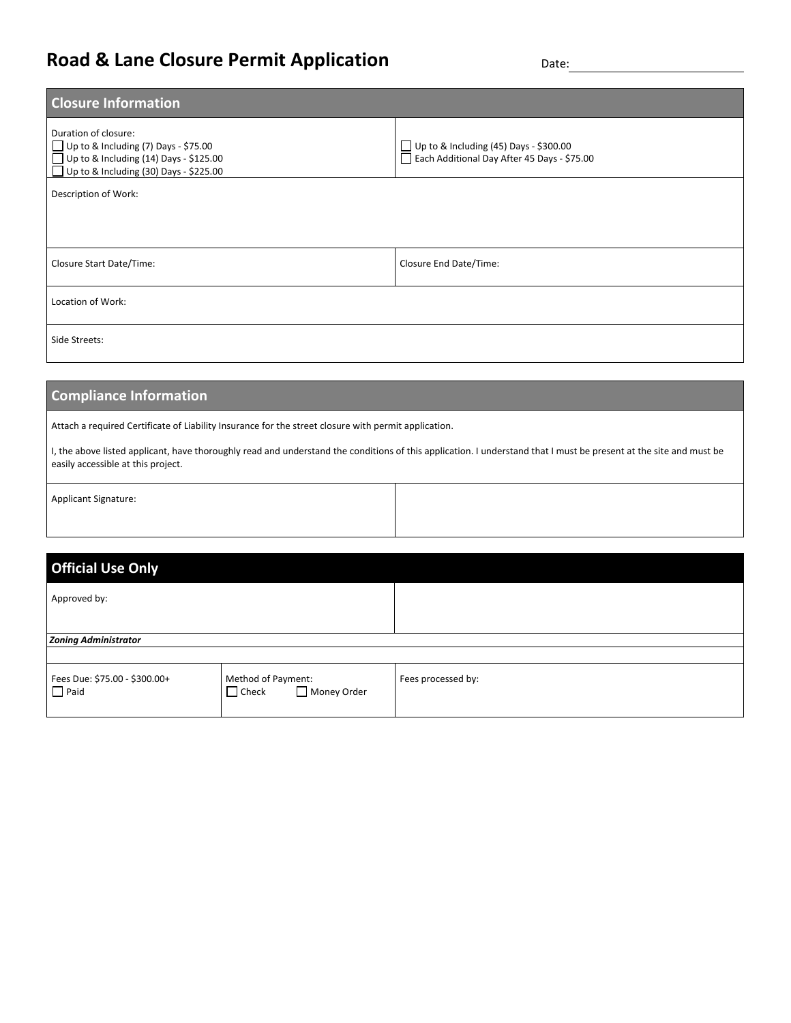## **Road & Lane Closure Permit Application Date:** Date:

| <b>Closure Information</b>                                                                                                                                            |                                                                                              |  |  |
|-----------------------------------------------------------------------------------------------------------------------------------------------------------------------|----------------------------------------------------------------------------------------------|--|--|
| Duration of closure:<br>$\Box$ Up to & Including (7) Days - \$75.00<br>$\Box$ Up to & Including (14) Days - \$125.00<br>$\Box$ Up to & Including (30) Days - \$225.00 | $\Box$ Up to & Including (45) Days - \$300.00<br>Each Additional Day After 45 Days - \$75.00 |  |  |
| Description of Work:                                                                                                                                                  |                                                                                              |  |  |
|                                                                                                                                                                       |                                                                                              |  |  |
| Closure Start Date/Time:                                                                                                                                              | Closure End Date/Time:                                                                       |  |  |
| Location of Work:                                                                                                                                                     |                                                                                              |  |  |
| Side Streets:                                                                                                                                                         |                                                                                              |  |  |

### **Compliance Information**

Attach a required Certificate of Liability Insurance for the street closure with permit application.

I, the above listed applicant, have thoroughly read and understand the conditions of this application. I understand that I must be present at the site and must be easily accessible at this project.

|  | <b>Applicant Signature:</b> |
|--|-----------------------------|
|--|-----------------------------|

| <b>Official Use Only</b>                     |                                                   |                    |
|----------------------------------------------|---------------------------------------------------|--------------------|
| Approved by:                                 |                                                   |                    |
|                                              |                                                   |                    |
| <b>Zoning Administrator</b>                  |                                                   |                    |
|                                              |                                                   |                    |
| Fees Due: \$75.00 - \$300.00+<br>$\Box$ Paid | Method of Payment:<br>Money Order<br>$\Box$ Check | Fees processed by: |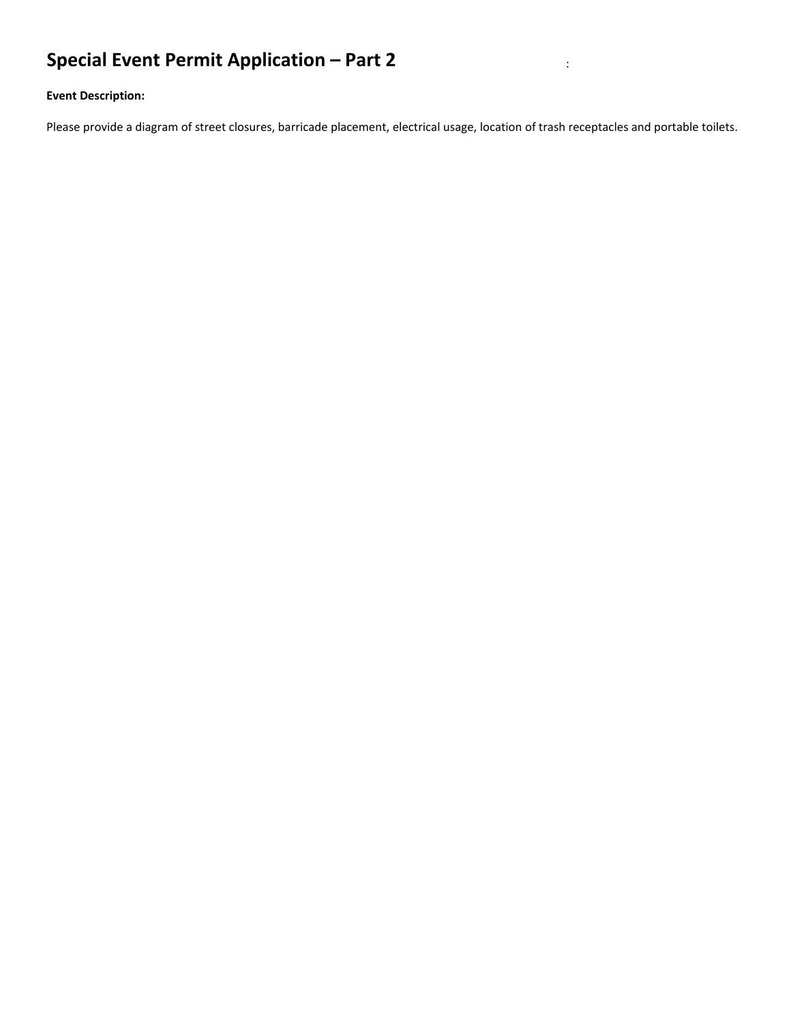# **Special Event Permit Application – Part 2** :

### **Event Description:**

Please provide a diagram of street closures, barricade placement, electrical usage, location of trash receptacles and portable toilets.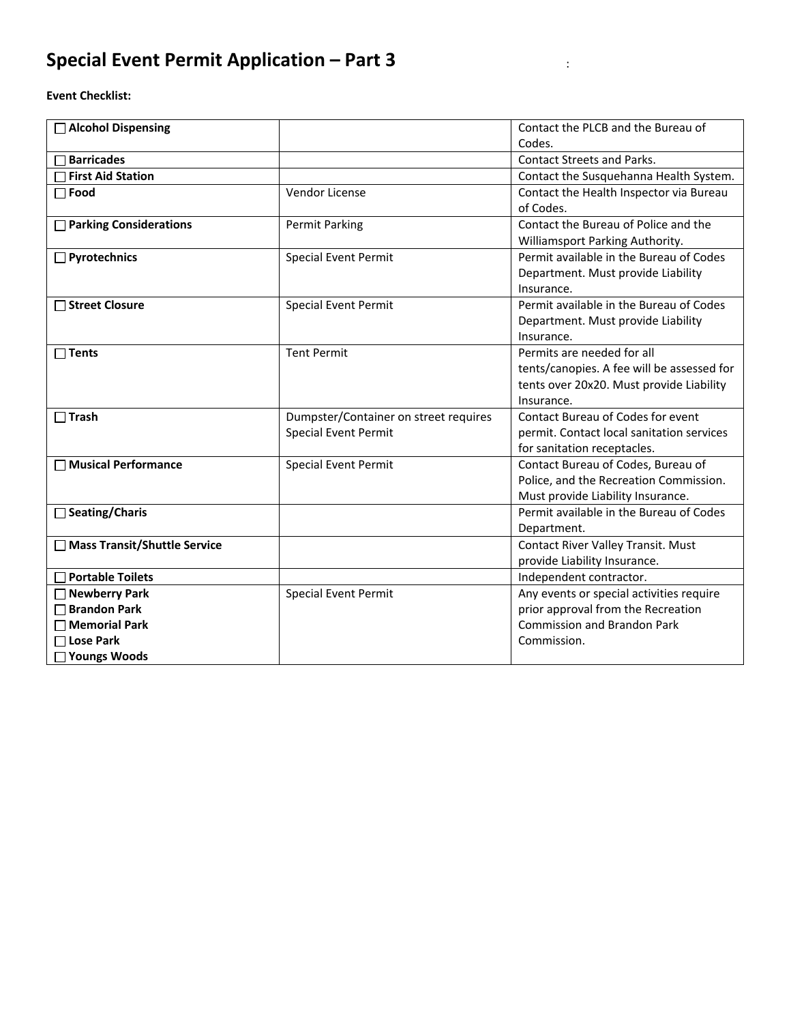# **Special Event Permit Application – Part 3** :

**Event Checklist:**

| <b>Alcohol Dispensing</b>    |                                                               | Contact the PLCB and the Bureau of                                                                                                 |
|------------------------------|---------------------------------------------------------------|------------------------------------------------------------------------------------------------------------------------------------|
|                              |                                                               | Codes.                                                                                                                             |
| <b>Barricades</b>            |                                                               | <b>Contact Streets and Parks.</b>                                                                                                  |
| <b>First Aid Station</b>     |                                                               | Contact the Susquehanna Health System.                                                                                             |
| $\Box$ Food                  | Vendor License                                                | Contact the Health Inspector via Bureau<br>of Codes.                                                                               |
| □ Parking Considerations     | <b>Permit Parking</b>                                         | Contact the Bureau of Police and the<br>Williamsport Parking Authority.                                                            |
| $\Box$ Pyrotechnics          | <b>Special Event Permit</b>                                   | Permit available in the Bureau of Codes<br>Department. Must provide Liability<br>Insurance.                                        |
| □ Street Closure             | <b>Special Event Permit</b>                                   | Permit available in the Bureau of Codes<br>Department. Must provide Liability<br>Insurance.                                        |
| Tents                        | <b>Tent Permit</b>                                            | Permits are needed for all<br>tents/canopies. A fee will be assessed for<br>tents over 20x20. Must provide Liability<br>Insurance. |
| $\Box$ Trash                 | Dumpster/Container on street requires<br>Special Event Permit | Contact Bureau of Codes for event<br>permit. Contact local sanitation services<br>for sanitation receptacles.                      |
| □ Musical Performance        | <b>Special Event Permit</b>                                   | Contact Bureau of Codes, Bureau of<br>Police, and the Recreation Commission.<br>Must provide Liability Insurance.                  |
| <b>Seating/Charis</b>        |                                                               | Permit available in the Bureau of Codes<br>Department.                                                                             |
| Mass Transit/Shuttle Service |                                                               | Contact River Valley Transit. Must<br>provide Liability Insurance.                                                                 |
| $\Box$ Portable Toilets      |                                                               | Independent contractor.                                                                                                            |
| □ Newberry Park              | <b>Special Event Permit</b>                                   | Any events or special activities require                                                                                           |
| <b>□ Brandon Park</b>        |                                                               | prior approval from the Recreation                                                                                                 |
| $\Box$ Memorial Park         |                                                               | <b>Commission and Brandon Park</b>                                                                                                 |
| $\Box$ Lose Park             |                                                               | Commission.                                                                                                                        |
| □ Youngs Woods               |                                                               |                                                                                                                                    |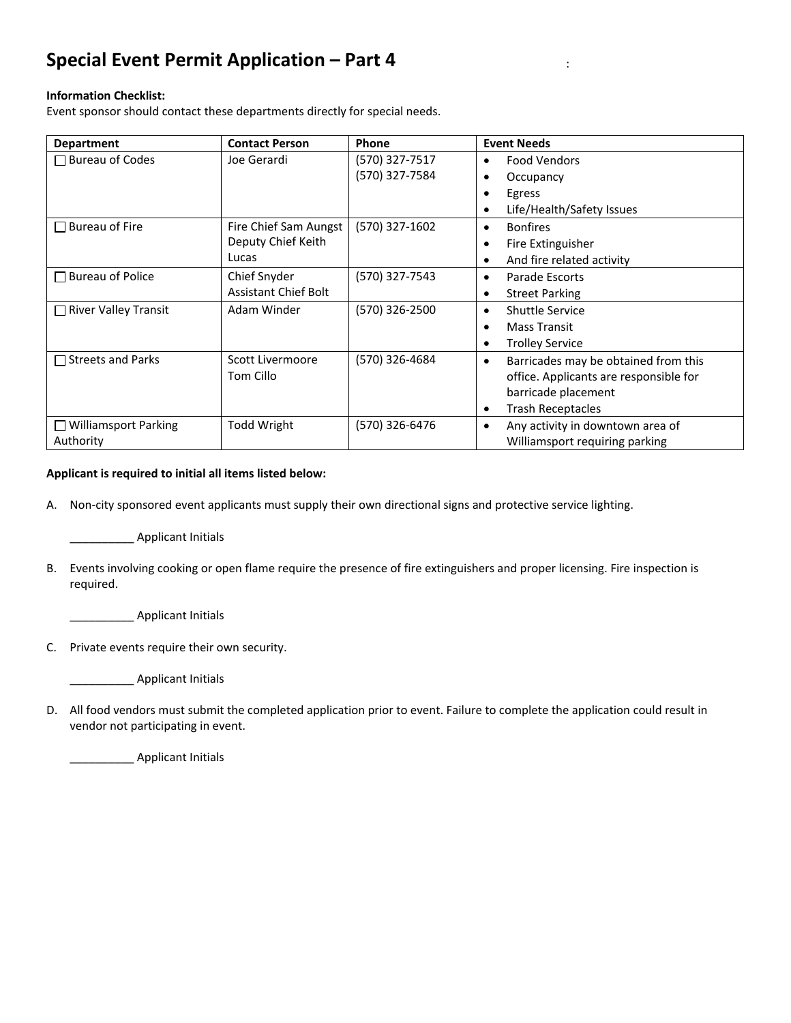## **Special Event Permit Application – Part 4** :

### **Information Checklist:**

Event sponsor should contact these departments directly for special needs.

| <b>Department</b>                           | <b>Contact Person</b>       | Phone          | <b>Event Needs</b>                            |
|---------------------------------------------|-----------------------------|----------------|-----------------------------------------------|
| Bureau of Codes<br>$\mathbf{I}$             | Joe Gerardi                 | (570) 327-7517 | <b>Food Vendors</b><br>٠                      |
|                                             |                             | (570) 327-7584 | Occupancy                                     |
|                                             |                             |                | Egress                                        |
|                                             |                             |                | Life/Health/Safety Issues<br>$\bullet$        |
| <b>Bureau of Fire</b><br>L                  | Fire Chief Sam Aungst       | (570) 327-1602 | <b>Bonfires</b><br>٠                          |
|                                             | Deputy Chief Keith          |                | Fire Extinguisher                             |
|                                             | Lucas                       |                | And fire related activity<br>٠                |
| Bureau of Police<br>$\mathbf{I}$            | Chief Snyder                | (570) 327-7543 | Parade Escorts<br>٠                           |
|                                             | <b>Assistant Chief Bolt</b> |                | <b>Street Parking</b><br>٠                    |
| <b>River Valley Transit</b><br>$\mathbf{I}$ | Adam Winder                 | (570) 326-2500 | <b>Shuttle Service</b><br>٠                   |
|                                             |                             |                | <b>Mass Transit</b>                           |
|                                             |                             |                | <b>Trolley Service</b>                        |
| $\Box$ Streets and Parks                    | Scott Livermoore            | (570) 326-4684 | Barricades may be obtained from this<br>٠     |
|                                             | Tom Cillo                   |                | office. Applicants are responsible for        |
|                                             |                             |                | barricade placement                           |
|                                             |                             |                | <b>Trash Receptacles</b><br>٠                 |
| $\Box$ Williamsport Parking                 | <b>Todd Wright</b>          | (570) 326-6476 | Any activity in downtown area of<br>$\bullet$ |
| Authority                                   |                             |                | Williamsport requiring parking                |

#### **Applicant is required to initial all items listed below:**

A. Non-city sponsored event applicants must supply their own directional signs and protective service lighting.

\_\_\_\_\_\_\_\_\_\_ Applicant Initials

B. Events involving cooking or open flame require the presence of fire extinguishers and proper licensing. Fire inspection is required.

\_\_\_\_\_\_\_\_\_\_ Applicant Initials

C. Private events require their own security.

\_\_\_\_\_\_\_\_\_\_ Applicant Initials

D. All food vendors must submit the completed application prior to event. Failure to complete the application could result in vendor not participating in event.

\_\_\_\_\_\_\_\_\_\_ Applicant Initials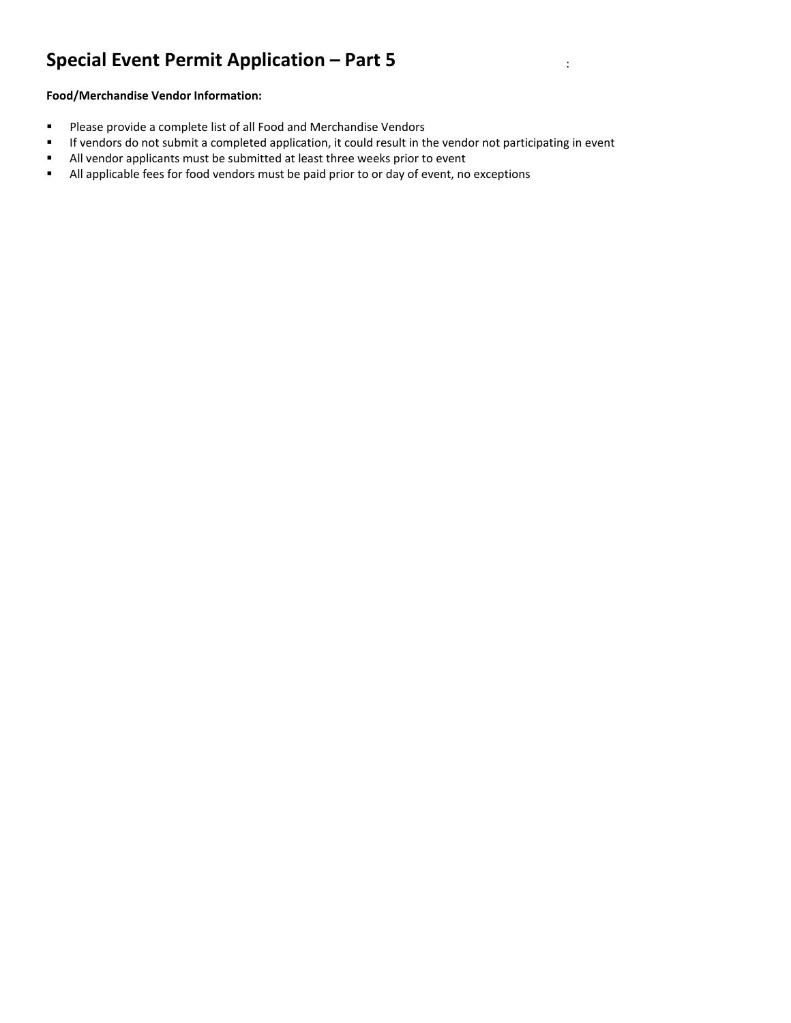# **Special Event Permit Application – Part 5** :

### **Food/Merchandise Vendor Information:**

- **Please provide a complete list of all Food and Merchandise Vendors**
- If vendors do not submit a completed application, it could result in the vendor not participating in event
- All vendor applicants must be submitted at least three weeks prior to event
- All applicable fees for food vendors must be paid prior to or day of event, no exceptions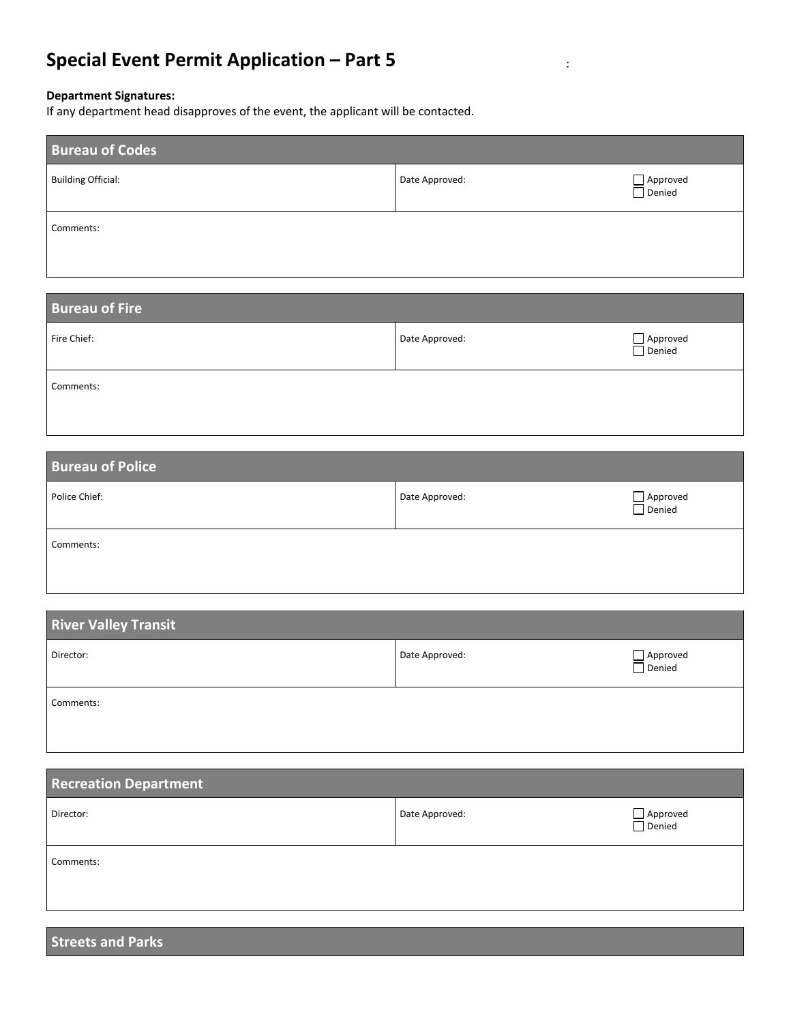# **Special Event Permit Application – Part 5** :

#### **Department Signatures:**

If any department head disapproves of the event, the applicant will be contacted.

| <b>Bureau of Codes</b>    |                |                                      |
|---------------------------|----------------|--------------------------------------|
| <b>Building Official:</b> | Date Approved: | Approved<br>$\overline{\Box}$ Denied |
| Comments:                 |                |                                      |

| <b>Bureau of Fire</b> |                |                        |
|-----------------------|----------------|------------------------|
| Fire Chief:           | Date Approved: | □ Approved<br>□ Denied |
| Comments:             |                |                        |

| <b>Bureau of Police</b> |                |                                  |
|-------------------------|----------------|----------------------------------|
| Police Chief:           | Date Approved: | $\Box$ Approved<br>$\Box$ Denied |
| Comments:               |                |                                  |

| <b>River Valley Transit</b> |                |                        |
|-----------------------------|----------------|------------------------|
| Director:                   | Date Approved: | □ Approved<br>□ Denied |
| Comments:                   |                |                        |

| <b>Recreation Department</b> |                |                        |
|------------------------------|----------------|------------------------|
| Director:                    | Date Approved: | □ Approved<br>□ Denied |
| Comments:                    |                |                        |